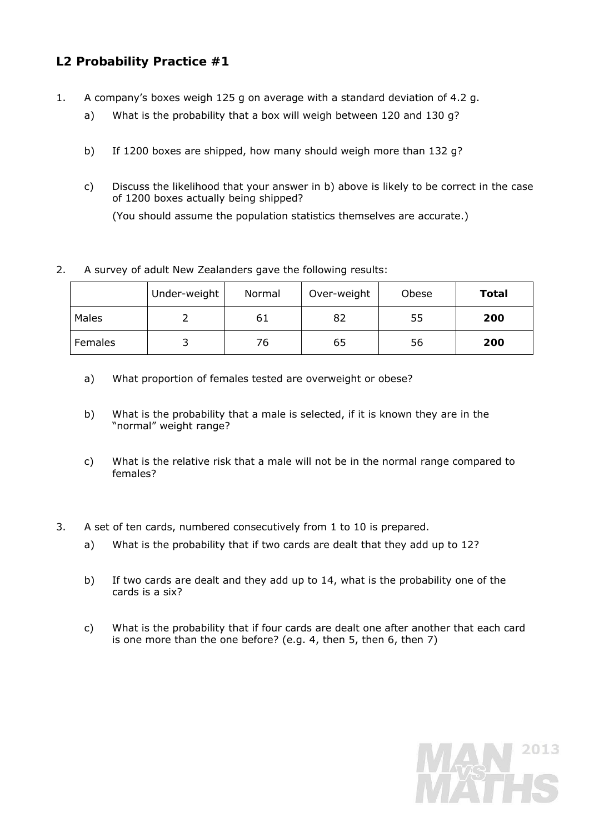## **L2 Probability Practice #1**

- 1. A company's boxes weigh 125 g on average with a standard deviation of 4.2 g.
	- a) What is the probability that a box will weigh between 120 and 130 g?
	- b) If 1200 boxes are shipped, how many should weigh more than 132 g?
	- c) Discuss the likelihood that your answer in b) above is likely to be correct in the case of 1200 boxes actually being shipped?

(You should assume the population statistics themselves are accurate.)

## 2. A survey of adult New Zealanders gave the following results:

|         | Under-weight | Normal | Over-weight | Obese | Total |
|---------|--------------|--------|-------------|-------|-------|
| Males   |              | 61     | 82          | 55    | 200   |
| Females |              | 76     | 65          | 56    | 200   |

- a) What proportion of females tested are overweight or obese?
- b) What is the probability that a male is selected, if it is known they are in the "normal" weight range?
- c) What is the relative risk that a male will not be in the normal range compared to females?
- 3. A set of ten cards, numbered consecutively from 1 to 10 is prepared.
	- a) What is the probability that if two cards are dealt that they add up to 12?
	- b) If two cards are dealt and they add up to 14, what is the probability one of the cards is a six?
	- c) What is the probability that if four cards are dealt one after another that each card is one more than the one before? (e.g. 4, then 5, then 6, then 7)